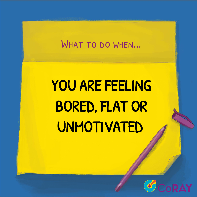### WHAT TO DO WHEN...

# YOU ARE FEELING BORED, FLAT OR UNMOTIVATED

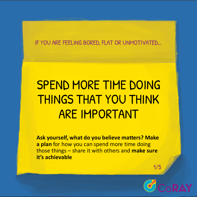# SPEND MORE TIME DOING THINGS THAT YOU THINK ARE IMPORTANT

**Ask yourself, what do you believe matters? Make a plan** for how you can spend more time doing those things – share it with others and **make sure it's achievable**

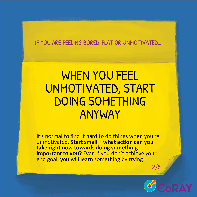### WHEN YOU FEEL UNMOTIVATED, START DOING SOMETHING ANYWAY

It's normal to find it hard to do things when you're unmotivated. **Start small – what action can you take right now towards doing something important to you?** Even if you don't achieve your end goal, you will learn something by trying.

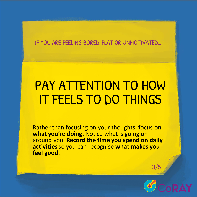# PAY ATTENTION TO HOW IT FEELS TO DO THINGS

Rather than focusing on your thoughts, **focus on what you're doing**. Notice what is going on around you. **Record the time you spend on daily activities** so you can recognise **what makes you feel good.**

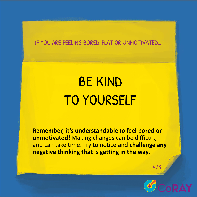# BE KIND TO YOURSELF

**Remember, it's understandable to feel bored or unmotivated!** Making changes can be difficult, and can take time. Try to notice and **challenge any negative thinking that is getting in the way.**